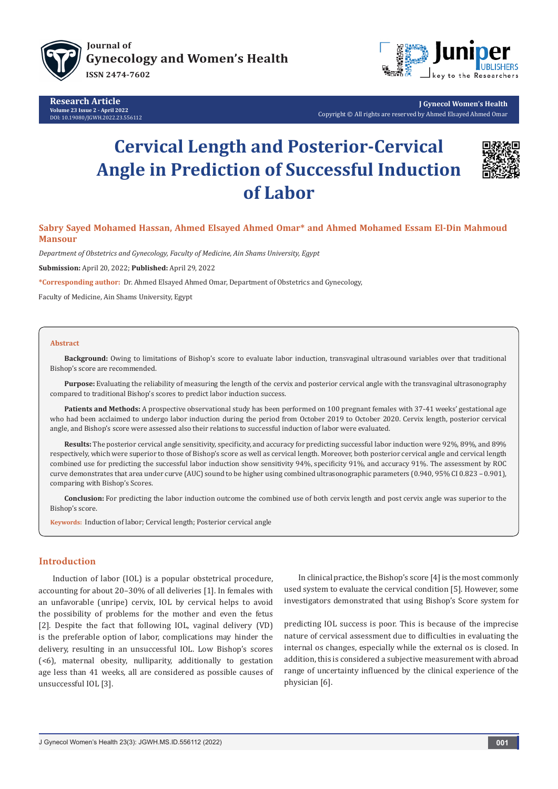

**Research Article Volume 23 Issue 2 - April 2022** DOI: [10.19080/JGWH.2022.23.556](http://dx.doi.org/10.19080/JGWH.2022.23.556112)112



**J Gynecol Women's Health** Copyright © All rights are reserved by Ahmed Elsayed Ahmed Omar

# **Cervical Length and Posterior-Cervical Angle in Prediction of Successful Induction of Labor**



# **Sabry Sayed Mohamed Hassan, Ahmed Elsayed Ahmed Omar\* and Ahmed Mohamed Essam El-Din Mahmoud Mansour**

*Department of Obstetrics and Gynecology, Faculty of Medicine, Ain Shams University, Egypt*

**Submission:** April 20, 2022; **Published:** April 29, 2022

**\*Corresponding author:** Dr. Ahmed Elsayed Ahmed Omar, Department of Obstetrics and Gynecology,

Faculty of Medicine, Ain Shams University, Egypt

#### **Abstract**

**Background:** Owing to limitations of Bishop's score to evaluate labor induction, transvaginal ultrasound variables over that traditional Bishop's score are recommended.

**Purpose:** Evaluating the reliability of measuring the length of the cervix and posterior cervical angle with the transvaginal ultrasonography compared to traditional Bishop's scores to predict labor induction success.

**Patients and Methods:** A prospective observational study has been performed on 100 pregnant females with 37-41 weeks' gestational age who had been acclaimed to undergo labor induction during the period from October 2019 to October 2020. Cervix length, posterior cervical angle, and Bishop's score were assessed also their relations to successful induction of labor were evaluated.

**Results:** The posterior cervical angle sensitivity, specificity, and accuracy for predicting successful labor induction were 92%, 89%, and 89% respectively, which were superior to those of Bishop's score as well as cervical length. Moreover, both posterior cervical angle and cervical length combined use for predicting the successful labor induction show sensitivity 94%, specificity 91%, and accuracy 91%. The assessment by ROC curve demonstrates that area under curve (AUC) sound to be higher using combined ultrasonographic parameters (0.940, 95% CI 0.823 – 0.901), comparing with Bishop's Scores.

**Conclusion:** For predicting the labor induction outcome the combined use of both cervix length and post cervix angle was superior to the Bishop's score.

**Keywords:** Induction of labor; Cervical length; Posterior cervical angle

# **Introduction**

Induction of labor (IOL) is a popular obstetrical procedure, accounting for about 20–30% of all deliveries [1]. In females with an unfavorable (unripe) cervix, IOL by cervical helps to avoid the possibility of problems for the mother and even the fetus [2]. Despite the fact that following IOL, vaginal delivery (VD) is the preferable option of labor, complications may hinder the delivery, resulting in an unsuccessful IOL. Low Bishop's scores (<6), maternal obesity, nulliparity, additionally to gestation age less than 41 weeks, all are considered as possible causes of unsuccessful IOL [3].

In clinical practice, the Bishop's score [4] is the most commonly used system to evaluate the cervical condition [5]. However, some investigators demonstrated that using Bishop's Score system for

predicting IOL success is poor. This is because of the imprecise nature of cervical assessment due to difficulties in evaluating the internal os changes, especially while the external os is closed. In addition, this is considered a subjective measurement with abroad range of uncertainty influenced by the clinical experience of the physician [6].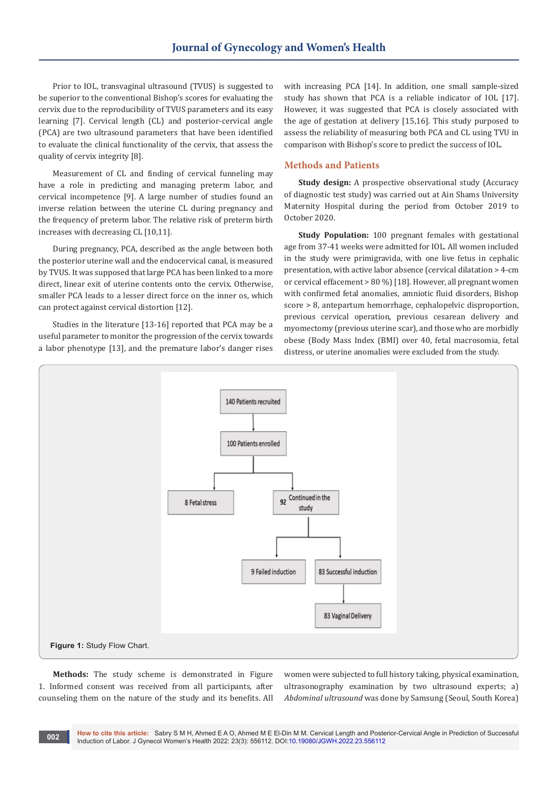Prior to IOL, transvaginal ultrasound (TVUS) is suggested to be superior to the conventional Bishop's scores for evaluating the cervix due to the reproducibility of TVUS parameters and its easy learning [7]. Cervical length (CL) and posterior-cervical angle (PCA) are two ultrasound parameters that have been identified to evaluate the clinical functionality of the cervix, that assess the quality of cervix integrity [8].

Measurement of CL and finding of cervical funneling may have a role in predicting and managing preterm labor, and cervical incompetence [9]. A large number of studies found an inverse relation between the uterine CL during pregnancy and the frequency of preterm labor. The relative risk of preterm birth increases with decreasing CL [10,11].

During pregnancy, PCA, described as the angle between both the posterior uterine wall and the endocervical canal, is measured by TVUS. It was supposed that large PCA has been linked to a more direct, linear exit of uterine contents onto the cervix. Otherwise, smaller PCA leads to a lesser direct force on the inner os, which can protect against cervical distortion [12].

Studies in the literature [13-16] reported that PCA may be a useful parameter to monitor the progression of the cervix towards a labor phenotype [13], and the premature labor's danger rises with increasing PCA [14]. In addition, one small sample-sized study has shown that PCA is a reliable indicator of IOL [17]. However, it was suggested that PCA is closely associated with the age of gestation at delivery [15,16]. This study purposed to assess the reliability of measuring both PCA and CL using TVU in comparison with Bishop's score to predict the success of IOL.

#### **Methods and Patients**

**Study design:** A prospective observational study (Accuracy of diagnostic test study) was carried out at Ain Shams University Maternity Hospital during the period from October 2019 to October 2020.

**Study Population:** 100 pregnant females with gestational age from 37-41 weeks were admitted for IOL. All women included in the study were primigravida, with one live fetus in cephalic presentation, with active labor absence (cervical dilatation > 4-cm or cervical effacement > 80 %) [18]. However, all pregnant women with confirmed fetal anomalies, amniotic fluid disorders, Bishop score > 8, antepartum hemorrhage, cephalopelvic disproportion, previous cervical operation, previous cesarean delivery and myomectomy (previous uterine scar), and those who are morbidly obese (Body Mass Index (BMI) over 40, fetal macrosomia, fetal distress, or uterine anomalies were excluded from the study.



**Methods:** The study scheme is demonstrated in Figure 1. Informed consent was received from all participants, after counseling them on the nature of the study and its benefits. All women were subjected to full history taking, physical examination, ultrasonography examination by two ultrasound experts; a) *Abdominal ultrasound* was done by Samsung (Seoul, South Korea)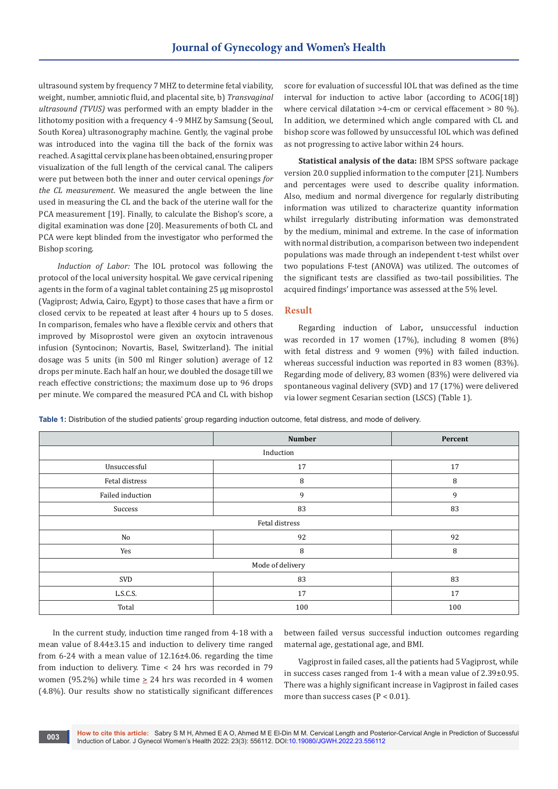ultrasound system by frequency 7 MHZ to determine fetal viability, weight, number, amniotic fluid, and placental site, b) *Transvaginal ultrasound (TVUS)* was performed with an empty bladder in the lithotomy position with a frequency 4 -9 MHZ by Samsung (Seoul, South Korea) ultrasonography machine. Gently, the vaginal probe was introduced into the vagina till the back of the fornix was reached. A sagittal cervix plane has been obtained, ensuring proper visualization of the full length of the cervical canal. The calipers were put between both the inner and outer cervical openings *for the CL measurement*. We measured the angle between the line used in measuring the CL and the back of the uterine wall for the PCA measurement [19]. Finally, to calculate the Bishop's score, a digital examination was done [20]. Measurements of both CL and PCA were kept blinded from the investigator who performed the Bishop scoring.

*Induction of Labor:* The IOL protocol was following the protocol of the local university hospital. We gave cervical ripening agents in the form of a vaginal tablet containing 25 μg misoprostol (Vagiprost; Adwia, Cairo, Egypt) to those cases that have a firm or closed cervix to be repeated at least after 4 hours up to 5 doses. In comparison, females who have a flexible cervix and others that improved by Misoprostol were given an oxytocin intravenous infusion (Syntocinon; Novartis, Basel, Switzerland). The initial dosage was 5 units (in 500 ml Ringer solution) average of 12 drops per minute. Each half an hour, we doubled the dosage till we reach effective constrictions; the maximum dose up to 96 drops per minute. We compared the measured PCA and CL with bishop

score for evaluation of successful IOL that was defined as the time interval for induction to active labor (according to ACOG[18]) where cervical dilatation >4-cm or cervical effacement > 80 %). In addition, we determined which angle compared with CL and bishop score was followed by unsuccessful IOL which was defined as not progressing to active labor within 24 hours.

**Statistical analysis of the data:** IBM SPSS software package version 20.0 supplied information to the computer [21]. Numbers and percentages were used to describe quality information. Also, medium and normal divergence for regularly distributing information was utilized to characterize quantity information whilst irregularly distributing information was demonstrated by the medium, minimal and extreme. In the case of information with normal distribution, a comparison between two independent populations was made through an independent t-test whilst over two populations F-test (ANOVA) was utilized. The outcomes of the significant tests are classified as two-tail possibilities. The acquired findings' importance was assessed at the 5% level.

#### **Result**

Regarding induction of Labor**,** unsuccessful induction was recorded in 17 women (17%), including 8 women (8%) with fetal distress and 9 women (9%) with failed induction. whereas successful induction was reported in 83 women (83%). Regarding mode of delivery, 83 women (83%) were delivered via spontaneous vaginal delivery (SVD) and 17 (17%) were delivered via lower segment Cesarian section (LSCS) (Table 1).

**Table 1:** Distribution of the studied patients' group regarding induction outcome, fetal distress, and mode of delivery.

|                  | <b>Number</b> | Percent |  |  |
|------------------|---------------|---------|--|--|
| Induction        |               |         |  |  |
| Unsuccessful     | 17            |         |  |  |
| Fetal distress   | 8             | 8       |  |  |
| Failed induction | 9             |         |  |  |
| Success          | 83            |         |  |  |
| Fetal distress   |               |         |  |  |
| No               | 92            | 92      |  |  |
| Yes              | 8             | 8       |  |  |
| Mode of delivery |               |         |  |  |
| SVD              | 83            | 83      |  |  |
| L.S.C.S.         | 17            | 17      |  |  |
| Total            | 100           | 100     |  |  |

In the current study, induction time ranged from 4-18 with a mean value of 8.44±3.15 and induction to delivery time ranged from 6-24 with a mean value of 12.16±4.06. regarding the time from induction to delivery. Time < 24 hrs was recorded in 79 women (95.2%) while time  $\geq$  24 hrs was recorded in 4 women (4.8%). Our results show no statistically significant differences

**003**

between failed versus successful induction outcomes regarding maternal age, gestational age, and BMI.

Vagiprost in failed cases, all the patients had 5 Vagiprost, while in success cases ranged from 1-4 with a mean value of 2.39±0.95. There was a highly significant increase in Vagiprost in failed cases more than success cases ( $P < 0.01$ ).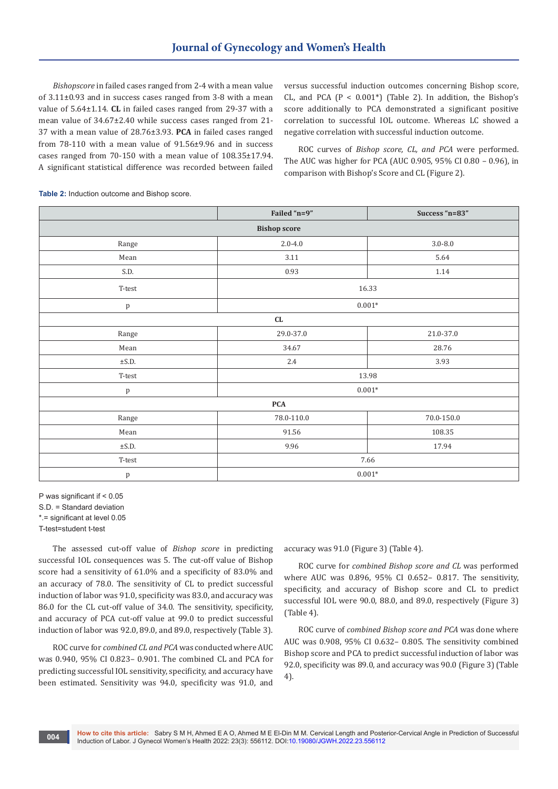*Bishopscore* in failed cases ranged from 2-4 with a mean value of 3.11±0.93 and in success cases ranged from 3-8 with a mean value of 5.64±1.14. **CL** in failed cases ranged from 29-37 with a mean value of 34.67±2.40 while success cases ranged from 21- 37 with a mean value of 28.76±3.93. **PCA** in failed cases ranged from 78-110 with a mean value of 91.56±9.96 and in success cases ranged from 70-150 with a mean value of 108.35±17.94. A significant statistical difference was recorded between failed

versus successful induction outcomes concerning Bishop score, CL, and PCA  $(P < 0.001^*)$  (Table 2). In addition, the Bishop's score additionally to PCA demonstrated a significant positive correlation to successful IOL outcome. Whereas LC showed a negative correlation with successful induction outcome.

ROC curves of *Bishop score, CL, and PCA* were performed. The AUC was higher for PCA (AUC 0.905, 95% CI 0.80 – 0.96), in comparison with Bishop's Score and CL (Figure 2).

**Table 2:** Induction outcome and Bishop score.

|                                  | Failed "n=9"               | Success "n=83" |  |  |
|----------------------------------|----------------------------|----------------|--|--|
| <b>Bishop score</b>              |                            |                |  |  |
| Range                            | $3.0 - 8.0$<br>$2.0 - 4.0$ |                |  |  |
| Mean                             | 3.11                       | 5.64           |  |  |
| S.D.                             | 0.93                       | $1.14\,$       |  |  |
| T-test                           | 16.33                      |                |  |  |
| p                                | $0.001^{\ast}$             |                |  |  |
| CL                               |                            |                |  |  |
| Range                            | 29.0-37.0                  | $21.0 - 37.0$  |  |  |
| ${\tt Mean}$                     | 34.67                      | 28.76          |  |  |
| $\pm$ S.D.                       | 2.4                        | 3.93           |  |  |
| $T-test$                         | 13.98                      |                |  |  |
| $\, {\bf p}$                     | $0.001^{\ast}$             |                |  |  |
| <b>PCA</b>                       |                            |                |  |  |
| Range                            | $78.0 - 110.0$             | $70.0 - 150.0$ |  |  |
| Mean                             | 91.56                      | 108.35         |  |  |
| $\pm$ S.D.                       | 9.96                       | 17.94          |  |  |
| $\operatorname{\textsc{T-test}}$ | 7.66                       |                |  |  |
| p                                | $0.001*$                   |                |  |  |

P was significant if < 0.05

S.D. = Standard deviation

\*.= significant at level 0.05

T-test=student t-test

The assessed cut-off value of *Bishop score* in predicting successful IOL consequences was 5. The cut-off value of Bishop score had a sensitivity of 61.0% and a specificity of 83.0% and an accuracy of 78.0. The sensitivity of CL to predict successful induction of labor was 91.0, specificity was 83.0, and accuracy was 86.0 for the CL cut-off value of 34.0. The sensitivity, specificity, and accuracy of PCA cut-off value at 99.0 to predict successful induction of labor was 92.0, 89.0, and 89.0, respectively (Table 3).

ROC curve for *combined CL and PCA* was conducted where AUC was 0.940, 95% CI 0.823– 0.901. The combined CL and PCA for predicting successful IOL sensitivity, specificity, and accuracy have been estimated. Sensitivity was 94.0, specificity was 91.0, and

accuracy was 91.0 (Figure 3) (Table 4).

ROC curve for *combined Bishop score and CL* was performed where AUC was 0.896, 95% CI 0.652– 0.817. The sensitivity, specificity, and accuracy of Bishop score and CL to predict successful IOL were 90.0, 88.0, and 89.0, respectively (Figure 3) (Table 4).

ROC curve of *combined Bishop score and PCA* was done where AUC was 0.908, 95% CI 0.632– 0.805. The sensitivity combined Bishop score and PCA to predict successful induction of labor was 92.0, specificity was 89.0, and accuracy was 90.0 (Figure 3) (Table 4).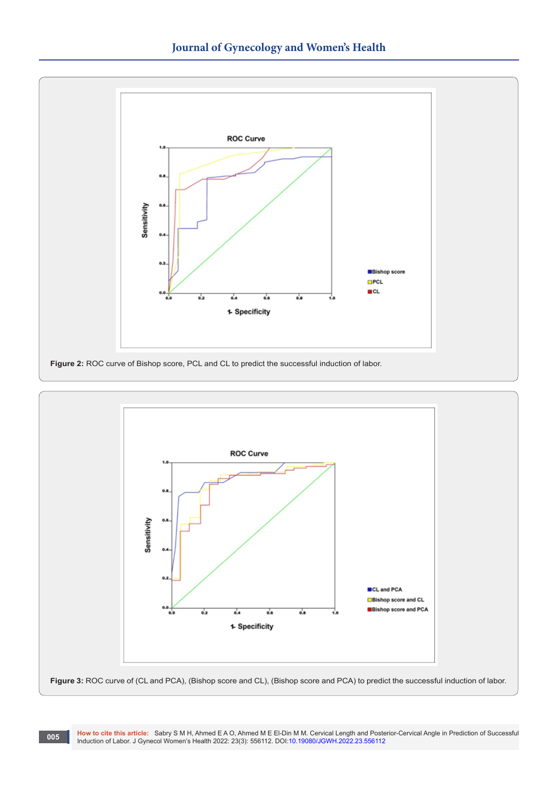



**How to cite this article:** Sabry S M H, Ahmed E A O, Ahmed M E El-Din M M. Cervical Length and Posterior-Cervical Angle in Prediction of Successful Induction of Labor. J Gynecol Women's Health 2022: 23(3): 556112. DOI:[10.19080/JGWH.2022.23.556](http://dx.doi.org/10.19080/JGWH.2022.23.556112)112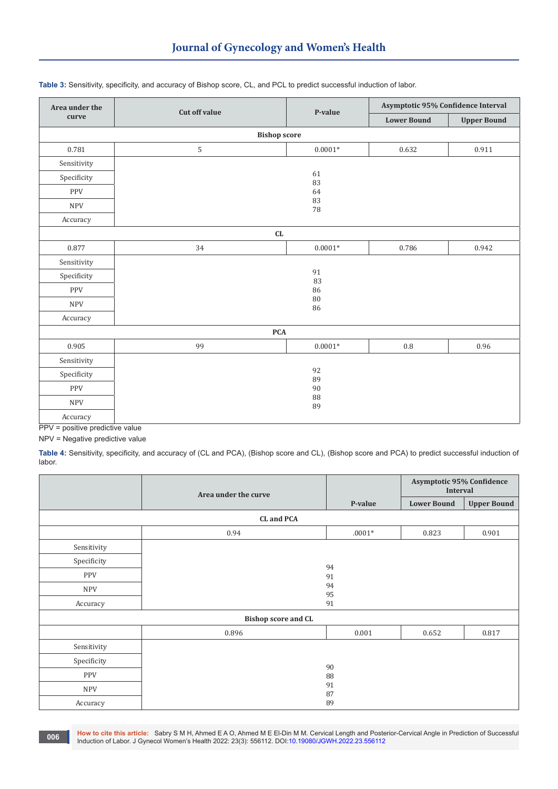| Area under the | <b>Cut off value</b><br>P-value |                    | Asymptotic 95% Confidence Interval |       |  |
|----------------|---------------------------------|--------------------|------------------------------------|-------|--|
| curve          |                                 | <b>Lower Bound</b> | <b>Upper Bound</b>                 |       |  |
|                | <b>Bishop score</b>             |                    |                                    |       |  |
| 0.781          | $\mathsf S$                     | $0.0001*$          | 0.632                              | 0.911 |  |
| Sensitivity    |                                 |                    |                                    |       |  |
| Specificity    |                                 | 61<br>83           |                                    |       |  |
| PPV            |                                 | 64<br>83           |                                    |       |  |
| <b>NPV</b>     |                                 |                    |                                    |       |  |
| Accuracy       |                                 | 78                 |                                    |       |  |
| ${\rm CL}$     |                                 |                    |                                    |       |  |
| 0.877          | 34                              | $0.0001^{\ast}$    | 0.786                              | 0.942 |  |
| Sensitivity    |                                 |                    |                                    |       |  |
| Specificity    | 91<br>83<br>86                  |                    |                                    |       |  |
| <b>PPV</b>     |                                 |                    |                                    |       |  |
| <b>NPV</b>     | 80<br>86                        |                    |                                    |       |  |
| Accuracy       |                                 |                    |                                    |       |  |
| $\mathbf{PCA}$ |                                 |                    |                                    |       |  |
| 0.905          | 99                              | $0.0001*$          | $\rm 0.8$                          | 0.96  |  |
| Sensitivity    |                                 |                    |                                    |       |  |
| Specificity    |                                 | 92<br>89           |                                    |       |  |
| PPV            | 90<br>88<br>89                  |                    |                                    |       |  |
| <b>NPV</b>     |                                 |                    |                                    |       |  |
| Accuracy       |                                 |                    |                                    |       |  |

#### **Table 3:** Sensitivity, specificity, and accuracy of Bishop score, CL, and PCL to predict successful induction of labor.

PPV = positive predictive value

**006**

NPV = Negative predictive value

**Table 4:** Sensitivity, specificity, and accuracy of (CL and PCA), (Bishop score and CL), (Bishop score and PCA) to predict successful induction of labor.

|                            | Area under the curve | <b>Asymptotic 95% Confidence</b><br><b>Interval</b> |                    |                    |
|----------------------------|----------------------|-----------------------------------------------------|--------------------|--------------------|
|                            |                      | P-value                                             | <b>Lower Bound</b> | <b>Upper Bound</b> |
|                            | CL and PCA           |                                                     |                    |                    |
|                            | 0.94                 | $.0001*$                                            | 0.823              | 0.901              |
| Sensitivity                |                      |                                                     |                    |                    |
| Specificity                |                      | 94                                                  |                    |                    |
| PPV                        |                      | 91                                                  |                    |                    |
| <b>NPV</b>                 |                      | 94<br>95                                            |                    |                    |
| Accuracy                   |                      | 91                                                  |                    |                    |
| <b>Bishop score and CL</b> |                      |                                                     |                    |                    |
|                            | 0.896                | 0.001                                               | 0.652              | 0.817              |
| Sensitivity                |                      |                                                     |                    |                    |
| Specificity                |                      | 90                                                  |                    |                    |
| <b>PPV</b>                 |                      | 88                                                  |                    |                    |
| <b>NPV</b>                 |                      | 91<br>87                                            |                    |                    |
| Accuracy                   |                      | 89                                                  |                    |                    |

**How to cite this article:** Sabry S M H, Ahmed E A O, Ahmed M E El-Din M M. Cervical Length and Posterior-Cervical Angle in Prediction of Successful Induction of Labor. J Gynecol Women's Health 2022: 23(3): 556112. DOI:[10.19080/JGWH.2022.23.556](http://dx.doi.org/10.19080/JGWH.2022.23.556112)112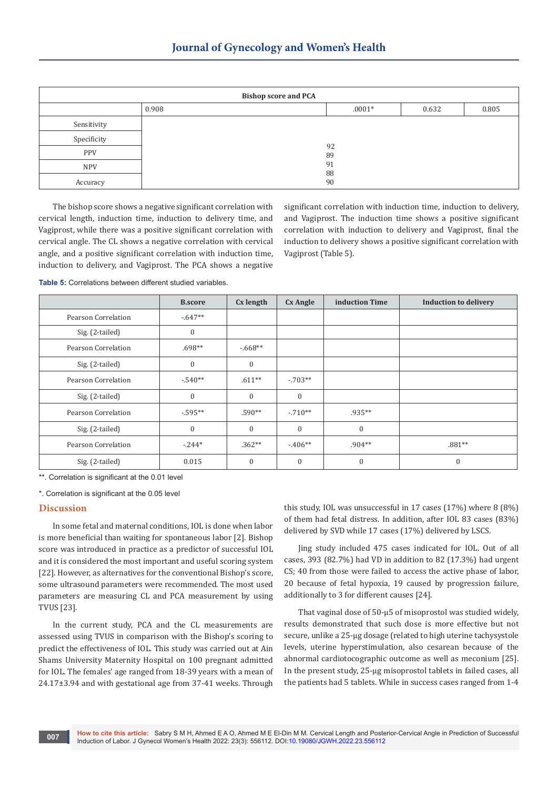| <b>Bishop score and PCA</b> |       |          |       |       |
|-----------------------------|-------|----------|-------|-------|
|                             | 0.908 | $.0001*$ | 0.632 | 0.805 |
| Sensitivity                 |       |          |       |       |
| Specificity                 |       | 92       |       |       |
| <b>PPV</b>                  | 89    |          |       |       |
| <b>NPV</b>                  |       | 91       |       |       |
| Accuracy                    |       | 88<br>90 |       |       |

The bishop score shows a negative significant correlation with cervical length, induction time, induction to delivery time, and Vagiprost, while there was a positive significant correlation with cervical angle. The CL shows a negative correlation with cervical angle, and a positive significant correlation with induction time, induction to delivery, and Vagiprost. The PCA shows a negative significant correlation with induction time, induction to delivery, and Vagiprost. The induction time shows a positive significant correlation with induction to delivery and Vagiprost, final the induction to delivery shows a positive significant correlation with Vagiprost (Table 5).

**Table 5:** Correlations between different studied variables.

|                     | <b>B.score</b>   | Cx length    | <b>Cx Angle</b> | induction Time   | <b>Induction to delivery</b> |
|---------------------|------------------|--------------|-----------------|------------------|------------------------------|
| Pearson Correlation | $-647**$         |              |                 |                  |                              |
| Sig. (2-tailed)     | $\boldsymbol{0}$ |              |                 |                  |                              |
| Pearson Correlation | $.698**$         | $-668**$     |                 |                  |                              |
| Sig. (2-tailed)     | $\mathbf{0}$     | $\mathbf{0}$ |                 |                  |                              |
| Pearson Correlation | $-540**$         | $.611**$     | $-703**$        |                  |                              |
| Sig. (2-tailed)     | $\mathbf{0}$     | $\mathbf{0}$ | $\mathbf{0}$    |                  |                              |
| Pearson Correlation | $-0.595**$       | .590**       | $-.710**$       | .935**           |                              |
| Sig. (2-tailed)     | $\boldsymbol{0}$ | $\mathbf{0}$ | $\mathbf{0}$    | $\boldsymbol{0}$ |                              |
| Pearson Correlation | $-244*$          | $.362**$     | $-406**$        | $.904**$         | $.881**$                     |
| Sig. (2-tailed)     | 0.015            | $\mathbf{0}$ | $\mathbf{0}$    | $\mathbf{0}$     | $\mathbf{0}$                 |

\*\*. Correlation is significant at the 0.01 level

\*. Correlation is significant at the 0.05 level

# **Discussion**

In some fetal and maternal conditions, IOL is done when labor is more beneficial than waiting for spontaneous labor [2]. Bishop score was introduced in practice as a predictor of successful IOL and it is considered the most important and useful scoring system [22]. However, as alternatives for the conventional Bishop's score, some ultrasound parameters were recommended. The most used parameters are measuring CL and PCA measurement by using TVUS [23].

In the current study, PCA and the CL measurements are assessed using TVUS in comparison with the Bishop's scoring to predict the effectiveness of IOL. This study was carried out at Ain Shams University Maternity Hospital on 100 pregnant admitted for IOL. The females' age ranged from 18-39 years with a mean of 24.17±3.94 and with gestational age from 37-41 weeks. Through

this study, IOL was unsuccessful in 17 cases (17%) where 8 (8%) of them had fetal distress. In addition, after IOL 83 cases (83%) delivered by SVD while 17 cases (17%) delivered by LSCS.

Jing study included 475 cases indicated for IOL. Out of all cases, 393 (82.7%) had VD in addition to 82 (17.3%) had urgent CS; 40 from those were failed to access the active phase of labor, 20 because of fetal hypoxia, 19 caused by progression failure, additionally to 3 for different causes [24].

That vaginal dose of 50-μ5 of misoprostol was studied widely, results demonstrated that such dose is more effective but not secure, unlike a 25-μg dosage (related to high uterine tachysystole levels, uterine hyperstimulation, also cesarean because of the abnormal cardiotocographic outcome as well as meconium [25]. In the present study, 25-μg misoprostol tablets in failed cases, all the patients had 5 tablets. While in success cases ranged from 1-4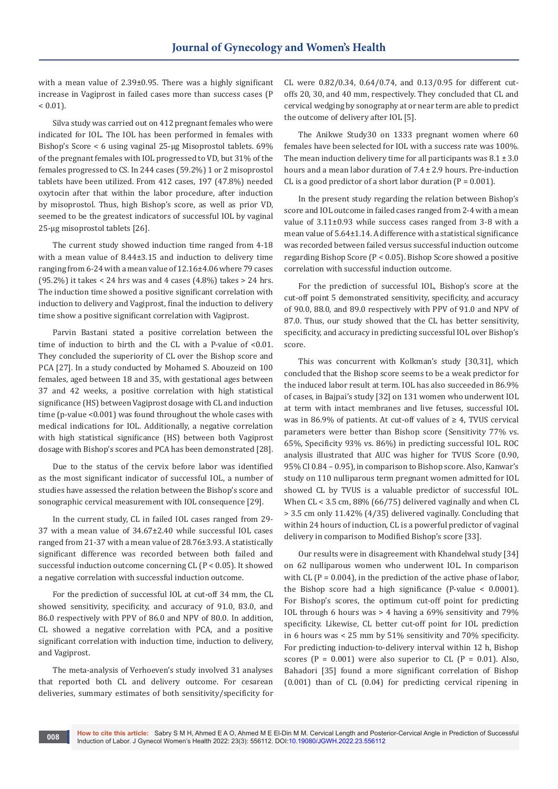with a mean value of 2.39±0.95. There was a highly significant increase in Vagiprost in failed cases more than success cases (P  $< 0.01$ ).

Silva study was carried out on 412 pregnant females who were indicated for IOL. The IOL has been performed in females with Bishop's Score < 6 using vaginal 25-μg Misoprostol tablets. 69% of the pregnant females with IOL progressed to VD, but 31% of the females progressed to CS. In 244 cases (59.2%) 1 or 2 misoprostol tablets have been utilized. From 412 cases, 197 (47.8%) needed oxytocin after that within the labor procedure, after induction by misoprostol. Thus, high Bishop's score, as well as prior VD, seemed to be the greatest indicators of successful IOL by vaginal 25-μg misoprostol tablets [26].

The current study showed induction time ranged from 4-18 with a mean value of 8.44±3.15 and induction to delivery time ranging from 6-24 with a mean value of 12.16±4.06 where 79 cases (95.2%) it takes < 24 hrs was and 4 cases (4.8%) takes > 24 hrs. The induction time showed a positive significant correlation with induction to delivery and Vagiprost, final the induction to delivery time show a positive significant correlation with Vagiprost.

Parvin Bastani stated a positive correlation between the time of induction to birth and the CL with a P-value of <0.01. They concluded the superiority of CL over the Bishop score and PCA [27]. In a study conducted by Mohamed S. Abouzeid on 100 females, aged between 18 and 35, with gestational ages between 37 and 42 weeks, a positive correlation with high statistical significance (HS) between Vagiprost dosage with CL and induction time (p-value <0.001) was found throughout the whole cases with medical indications for IOL. Additionally, a negative correlation with high statistical significance (HS) between both Vagiprost dosage with Bishop's scores and PCA has been demonstrated [28].

Due to the status of the cervix before labor was identified as the most significant indicator of successful IOL, a number of studies have assessed the relation between the Bishop's score and sonographic cervical measurement with IOL consequence [29].

In the current study, CL in failed IOL cases ranged from 29- 37 with a mean value of 34.67±2.40 while successful IOL cases ranged from 21-37 with a mean value of 28.76±3.93. A statistically significant difference was recorded between both failed and successful induction outcome concerning CL (P < 0.05). It showed a negative correlation with successful induction outcome.

For the prediction of successful IOL at cut-off 34 mm, the CL showed sensitivity, specificity, and accuracy of 91.0, 83.0, and 86.0 respectively with PPV of 86.0 and NPV of 80.0. In addition, CL showed a negative correlation with PCA, and a positive significant correlation with induction time, induction to delivery, and Vagiprost.

The meta-analysis of Verhoeven's study involved 31 analyses that reported both CL and delivery outcome. For cesarean deliveries, summary estimates of both sensitivity/specificity for

**008**

CL were 0.82/0.34, 0.64/0.74, and 0.13/0.95 for different cutoffs 20, 30, and 40 mm, respectively. They concluded that CL and cervical wedging by sonography at or near term are able to predict the outcome of delivery after IOL [5].

The Anikwe Study30 on 1333 pregnant women where 60 females have been selected for IOL with a success rate was 100%. The mean induction delivery time for all participants was  $8.1 \pm 3.0$ hours and a mean labor duration of 7.4 ± 2.9 hours. Pre-induction CL is a good predictor of a short labor duration  $(P = 0.001)$ .

In the present study regarding the relation between Bishop's score and IOL outcome in failed cases ranged from 2-4 with a mean value of 3.11±0.93 while success cases ranged from 3-8 with a mean value of 5.64±1.14. A difference with a statistical significance was recorded between failed versus successful induction outcome regarding Bishop Score (P < 0.05). Bishop Score showed a positive correlation with successful induction outcome.

For the prediction of successful IOL, Bishop's score at the cut-off point 5 demonstrated sensitivity, specificity, and accuracy of 90.0, 88.0, and 89.0 respectively with PPV of 91.0 and NPV of 87.0. Thus, our study showed that the CL has better sensitivity, specificity, and accuracy in predicting successful IOL over Bishop's score.

This was concurrent with Kolkman's study [30,31], which concluded that the Bishop score seems to be a weak predictor for the induced labor result at term. IOL has also succeeded in 86.9% of cases, in Bajpai's study [32] on 131 women who underwent IOL at term with intact membranes and live fetuses, successful IOL was in 86.9% of patients. At cut-off values of  $\geq$  4, TVUS cervical parameters were better than Bishop score (Sensitivity 77% vs. 65%, Specificity 93% vs. 86%) in predicting successful IOL. ROC analysis illustrated that AUC was higher for TVUS Score (0.90, 95% CI 0.84 – 0.95), in comparison to Bishop score. Also, Kanwar's study on 110 nulliparous term pregnant women admitted for IOL showed CL by TVUS is a valuable predictor of successful IOL. When CL < 3.5 cm, 88% (66/75) delivered vaginally and when CL > 3.5 cm only 11.42% (4/35) delivered vaginally. Concluding that within 24 hours of induction, CL is a powerful predictor of vaginal delivery in comparison to Modified Bishop's score [33].

Our results were in disagreement with Khandelwal study [34] on 62 nulliparous women who underwent IOL. In comparison with CL ( $P = 0.004$ ), in the prediction of the active phase of labor, the Bishop score had a high significance (P-value < 0.0001). For Bishop's scores, the optimum cut-off point for predicting IOL through 6 hours was > 4 having a 69% sensitivity and 79% specificity. Likewise, CL better cut-off point for IOL prediction in 6 hours was < 25 mm by 51% sensitivity and 70% specificity. For predicting induction-to-delivery interval within 12 h, Bishop scores ( $P = 0.001$ ) were also superior to CL ( $P = 0.01$ ). Also, Bahadori [35] found a more significant correlation of Bishop (0.001) than of CL (0.04) for predicting cervical ripening in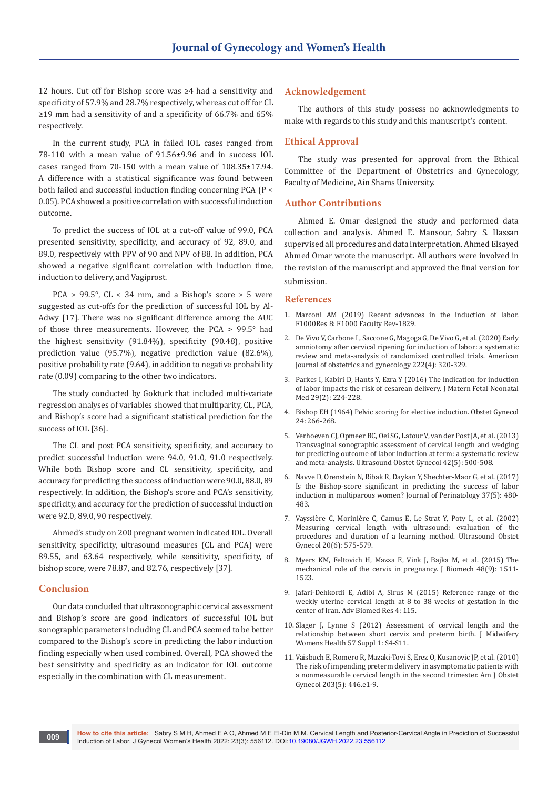12 hours. Cut off for Bishop score was ≥4 had a sensitivity and specificity of 57.9% and 28.7% respectively, whereas cut off for CL ≥19 mm had a sensitivity of and a specificity of 66.7% and 65% respectively.

In the current study, PCA in failed IOL cases ranged from 78-110 with a mean value of 91.56±9.96 and in success IOL cases ranged from 70-150 with a mean value of 108.35±17.94. A difference with a statistical significance was found between both failed and successful induction finding concerning PCA (P < 0.05). PCA showed a positive correlation with successful induction outcome.

To predict the success of IOL at a cut-off value of 99.0, PCA presented sensitivity, specificity, and accuracy of 92, 89.0, and 89.0, respectively with PPV of 90 and NPV of 88. In addition, PCA showed a negative significant correlation with induction time, induction to delivery, and Vagiprost.

PCA >  $99.5^{\circ}$ , CL < 34 mm, and a Bishop's score > 5 were suggested as cut-offs for the prediction of successful IOL by Al-Adwy [17]. There was no significant difference among the AUC of those three measurements. However, the PCA > 99.5° had the highest sensitivity (91.84%), specificity (90.48), positive prediction value (95.7%), negative prediction value (82.6%), positive probability rate (9.64), in addition to negative probability rate (0.09) comparing to the other two indicators.

The study conducted by Gokturk that included multi-variate regression analyses of variables showed that multiparity, CL, PCA, and Bishop's score had a significant statistical prediction for the success of IOL [36].

The CL and post PCA sensitivity, specificity, and accuracy to predict successful induction were 94.0, 91.0, 91.0 respectively. While both Bishop score and CL sensitivity, specificity, and accuracy for predicting the success of induction were 90.0, 88.0, 89 respectively. In addition, the Bishop's score and PCA's sensitivity, specificity, and accuracy for the prediction of successful induction were 92.0, 89.0, 90 respectively.

Ahmed's study on 200 pregnant women indicated IOL. Overall sensitivity, specificity, ultrasound measures (CL and PCA) were 89.55, and 63.64 respectively, while sensitivity, specificity, of bishop score, were 78.87, and 82.76, respectively [37].

# **Conclusion**

**009**

Our data concluded that ultrasonographic cervical assessment and Bishop's score are good indicators of successful IOL but sonographic parameters including CL and PCA seemed to be better compared to the Bishop's score in predicting the labor induction finding especially when used combined. Overall, PCA showed the best sensitivity and specificity as an indicator for IOL outcome especially in the combination with CL measurement.

# **Acknowledgement**

The authors of this study possess no acknowledgments to make with regards to this study and this manuscript's content.

### **Ethical Approval**

The study was presented for approval from the Ethical Committee of the Department of Obstetrics and Gynecology, Faculty of Medicine, Ain Shams University.

#### **Author Contributions**

Ahmed E. Omar designed the study and performed data collection and analysis. Ahmed E. Mansour, Sabry S. Hassan supervised all procedures and data interpretation. Ahmed Elsayed Ahmed Omar wrote the manuscript. All authors were involved in the revision of the manuscript and approved the final version for submission.

#### **References**

- 1. [Marconi AM \(2019\) Recent advances in the induction of labor.](https://pubmed.ncbi.nlm.nih.gov/31723412/)  [F1000Res 8: F1000 Faculty Rev-1829.](https://pubmed.ncbi.nlm.nih.gov/31723412/)
- 2. [De Vivo V, Carbone L, Saccone G, Magoga G, De Vivo G, et al. \(2020\) Early](https://pubmed.ncbi.nlm.nih.gov/31398311/)  [amniotomy after cervical ripening for induction of labor: a systematic](https://pubmed.ncbi.nlm.nih.gov/31398311/)  [review and meta-analysis of randomized controlled trials. American](https://pubmed.ncbi.nlm.nih.gov/31398311/)  [journal of obstetrics and gynecology 222\(4\): 320-329.](https://pubmed.ncbi.nlm.nih.gov/31398311/)
- 3. [Parkes I, Kabiri D, Hants Y, Ezra Y \(2016\) The indication for induction](https://pubmed.ncbi.nlm.nih.gov/25483420/)  [of labor impacts the risk of cesarean delivery. J Matern Fetal Neonatal](https://pubmed.ncbi.nlm.nih.gov/25483420/)  [Med 29\(2\): 224-228.](https://pubmed.ncbi.nlm.nih.gov/25483420/)
- 4. [Bishop EH \(1964\) Pelvic scoring for elective induction. Obstet Gynecol](https://pubmed.ncbi.nlm.nih.gov/25483420/)  [24: 266-268.](https://pubmed.ncbi.nlm.nih.gov/25483420/)
- 5. [Verhoeven CJ, Opmeer BC, Oei SG, Latour V, van der Post JA, et al. \(2013\)](https://pubmed.ncbi.nlm.nih.gov/23533137/)  [Transvaginal sonographic assessment of cervical length and wedging](https://pubmed.ncbi.nlm.nih.gov/23533137/)  [for predicting outcome of labor induction at term: a systematic review](https://pubmed.ncbi.nlm.nih.gov/23533137/)  [and meta-analysis. Ultrasound Obstet Gynecol 42\(5\): 500-508.](https://pubmed.ncbi.nlm.nih.gov/23533137/)
- 6. [Navve D, Orenstein N, Ribak R, Daykan Y, Shechter-Maor G, et al. \(2017\)](https://pubmed.ncbi.nlm.nih.gov/28181995)  [Is the Bishop-score significant in predicting the success of labor](https://pubmed.ncbi.nlm.nih.gov/28181995)  [induction in multiparous women? Journal of Perinatology 37\(5\): 480-](https://pubmed.ncbi.nlm.nih.gov/28181995) [483.](https://pubmed.ncbi.nlm.nih.gov/28181995)
- 7. [Vayssière C, Morinière C, Camus E, Le Strat Y, Poty L, et al. \(2002\)](https://pubmed.ncbi.nlm.nih.gov/12493046/)  [Measuring cervical length with ultrasound: evaluation of the](https://pubmed.ncbi.nlm.nih.gov/12493046/)  [procedures and duration of a learning method. Ultrasound Obstet](https://pubmed.ncbi.nlm.nih.gov/12493046/)  [Gynecol 20\(6\): 575-579.](https://pubmed.ncbi.nlm.nih.gov/12493046/)
- 8. [Myers KM, Feltovich H, Mazza E, Vink J, Bajka M, et al. \(2015\) The](https://pubmed.ncbi.nlm.nih.gov/25841293/)  [mechanical role of the cervix in pregnancy. J Biomech 48\(9\): 1511-](https://pubmed.ncbi.nlm.nih.gov/25841293/) [1523.](https://pubmed.ncbi.nlm.nih.gov/25841293/)
- 9. Jafari-Dehkordi E, Adibi A, Sirus M (2015) Reference range of the weekly uterine cervical length at 8 to 38 weeks of gestation in the center of Iran. Adv Biomed Res 4: 115.
- 10. [Slager J, Lynne S \(2012\) Assessment of cervical length and the](https://pubmed.ncbi.nlm.nih.gov/22776243)  [relationship between short cervix and preterm birth. J Midwifery](https://pubmed.ncbi.nlm.nih.gov/22776243)  [Womens Health 57 Suppl 1: S4-S11.](https://pubmed.ncbi.nlm.nih.gov/22776243)
- 11. [Vaisbuch E, Romero R, Mazaki-Tovi S, Erez O, Kusanovic JP, et al. \(2010\)](https://pubmed.ncbi.nlm.nih.gov/20659728)  [The risk of impending preterm delivery in asymptomatic patients with](https://pubmed.ncbi.nlm.nih.gov/20659728)  [a nonmeasurable cervical length in the second trimester. Am J Obstet](https://pubmed.ncbi.nlm.nih.gov/20659728)  [Gynecol 203\(5\): 446.e1-9.](https://pubmed.ncbi.nlm.nih.gov/20659728)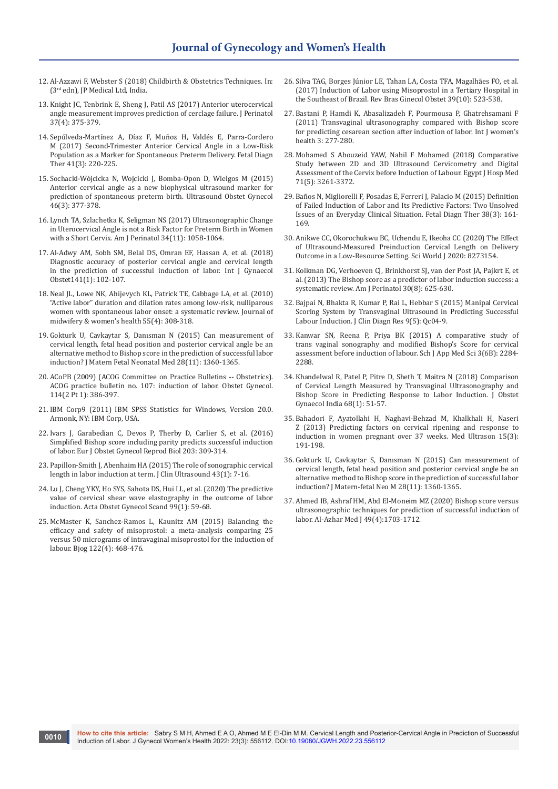- 12. Al-Azzawi F, Webster S (2018) Childbirth & Obstetrics Techniques. In: (3rd edn), JP Medical Ltd, India.
- 13. [Knight JC, Tenbrink E, Sheng J, Patil AS \(2017\) Anterior uterocervical](https://pubmed.ncbi.nlm.nih.gov/28055026/)  [angle measurement improves prediction of cerclage failure. J Perinatol](https://pubmed.ncbi.nlm.nih.gov/28055026/)  [37\(4\): 375-379.](https://pubmed.ncbi.nlm.nih.gov/28055026/)
- 14. [Sepúlveda-Martínez A, Díaz F, Muñoz H, Valdés E, Parra-Cordero](https://pubmed.ncbi.nlm.nih.gov/27513876/)  [M \(2017\) Second-Trimester Anterior Cervical Angle in a Low-Risk](https://pubmed.ncbi.nlm.nih.gov/27513876/)  [Population as a Marker for Spontaneous Preterm Delivery. Fetal Diagn](https://pubmed.ncbi.nlm.nih.gov/27513876/)  [Ther 41\(3\): 220-225.](https://pubmed.ncbi.nlm.nih.gov/27513876/)
- 15. [Sochacki-Wójcicka N, Wojcicki J, Bomba-Opon D, Wielgos M \(2015\)](https://pubmed.ncbi.nlm.nih.gov/25627241/)  [Anterior cervical angle as a new biophysical ultrasound marker for](https://pubmed.ncbi.nlm.nih.gov/25627241/)  [prediction of spontaneous preterm birth. Ultrasound Obstet Gynecol](https://pubmed.ncbi.nlm.nih.gov/25627241/)  [46\(3\): 377-378.](https://pubmed.ncbi.nlm.nih.gov/25627241/)
- 16. [Lynch TA, Szlachetka K, Seligman NS \(2017\) Ultrasonographic Change](https://pubmed.ncbi.nlm.nih.gov/28582792/)  [in Uterocervical Angle is not a Risk Factor for Preterm Birth in Women](https://pubmed.ncbi.nlm.nih.gov/28582792/)  [with a Short Cervix. Am J Perinatol 34\(11\): 1058-1064.](https://pubmed.ncbi.nlm.nih.gov/28582792/)
- 17. [Al-Adwy AM, Sobh SM, Belal DS, Omran EF, Hassan A, et al. \(2018\)](https://pubmed.ncbi.nlm.nih.gov/29224196/)  [Diagnostic accuracy of posterior cervical angle and cervical length](https://pubmed.ncbi.nlm.nih.gov/29224196/)  [in the prediction of successful induction of labor. Int J Gynaecol](https://pubmed.ncbi.nlm.nih.gov/29224196/)  [Obstet141\(1\): 102-107.](https://pubmed.ncbi.nlm.nih.gov/29224196/)
- 18. [Neal JL, Lowe NK, Ahijevych KL, Patrick TE, Cabbage LA, et al. \(2010\)](https://pubmed.ncbi.nlm.nih.gov/20630357/)  ["Active labor" duration and dilation rates among low-risk, nulliparous](https://pubmed.ncbi.nlm.nih.gov/20630357/)  [women with spontaneous labor onset: a systematic review. Journal of](https://pubmed.ncbi.nlm.nih.gov/20630357/)  [midwifery & women's health 55\(4\): 308-318.](https://pubmed.ncbi.nlm.nih.gov/20630357/)
- 19. [Gokturk U, Cavkaytar S, Danısman N \(2015\) Can measurement of](https://pubmed.ncbi.nlm.nih.gov/25123514)  [cervical length, fetal head position and posterior cervical angle be an](https://pubmed.ncbi.nlm.nih.gov/25123514)  [alternative method to Bishop score in the prediction of successful labor](https://pubmed.ncbi.nlm.nih.gov/25123514)  [induction? J Matern Fetal Neonatal Med 28\(11\): 1360-1365.](https://pubmed.ncbi.nlm.nih.gov/25123514)
- 20. [ACoPB \(2009\) \(ACOG Committee on Practice Bulletins -- Obstetrics\).](https://pubmed.ncbi.nlm.nih.gov/19623003/)  [ACOG practice bulletin no. 107: induction of labor. Obstet Gynecol.](https://pubmed.ncbi.nlm.nih.gov/19623003/)  [114\(2 Pt 1\): 386-397.](https://pubmed.ncbi.nlm.nih.gov/19623003/)
- 21. IBM Corp9 (2011) IBM SPSS Statistics for Windows, Version 20.0. Armonk, NY: IBM Corp, USA.
- 22. [Ivars J, Garabedian C, Devos P, Therby D, Carlier S, et al. \(2016\)](https://pubmed.ncbi.nlm.nih.gov/27423032/)  [Simplified Bishop score including parity predicts successful induction](https://pubmed.ncbi.nlm.nih.gov/27423032/)  [of labor. Eur J Obstet Gynecol Reprod Biol 203: 309-314.](https://pubmed.ncbi.nlm.nih.gov/27423032/)
- 23. [Papillon-Smith J, Abenhaim HA \(2015\) The role of sonographic cervical](https://onlinelibrary.wiley.com/doi/abs/10.1002/jcu.22229)  [length in labor induction at term. J Clin Ultrasound 43\(1\): 7-16.](https://onlinelibrary.wiley.com/doi/abs/10.1002/jcu.22229)
- 24. [Lu J, Cheng YKY, Ho SYS, Sahota DS, Hui LL, et al. \(2020\) The predictive](https://pubmed.ncbi.nlm.nih.gov/31691266/)  [value of cervical shear wave elastography in the outcome of labor](https://pubmed.ncbi.nlm.nih.gov/31691266/)  [induction. Acta Obstet Gynecol Scand 99\(1\): 59-68.](https://pubmed.ncbi.nlm.nih.gov/31691266/)
- 25. [McMaster K, Sanchez-Ramos L, Kaunitz AM \(2015\) Balancing the](https://pubmed.ncbi.nlm.nih.gov/24989790/)  [efficacy and safety of misoprostol: a meta-analysis comparing 25](https://pubmed.ncbi.nlm.nih.gov/24989790/)  [versus 50 micrograms of intravaginal misoprostol for the induction of](https://pubmed.ncbi.nlm.nih.gov/24989790/)  [labour. Bjog 122\(4\): 468-476.](https://pubmed.ncbi.nlm.nih.gov/24989790/)
- 26. [Silva TAG, Borges Júnior LE, Tahan LA, Costa TFA, Magalhães FO, et al.](https://www.scielo.br/j/rbgo/a/8Z8sjVD96vcnww6khNC4tKn/?lang=en)  [\(2017\) Induction of Labor using Misoprostol in a Tertiary Hospital in](https://www.scielo.br/j/rbgo/a/8Z8sjVD96vcnww6khNC4tKn/?lang=en)  [the Southeast of Brazil. Rev Bras Ginecol Obstet 39\(10\): 523-538.](https://www.scielo.br/j/rbgo/a/8Z8sjVD96vcnww6khNC4tKn/?lang=en)
- 27. [Bastani P, Hamdi K, Abasalizadeh F, Pourmousa P, Ghatrehsamani F](https://pubmed.ncbi.nlm.nih.gov/21892338/)  [\(2011\) Transvaginal ultrasonography compared with Bishop score](https://pubmed.ncbi.nlm.nih.gov/21892338/)  [for predicting cesarean section after induction of labor. Int J women's](https://pubmed.ncbi.nlm.nih.gov/21892338/)  [health 3: 277-280.](https://pubmed.ncbi.nlm.nih.gov/21892338/)
- 28. Mohamed S Abouzeid YAW, Nabil F Mohamed (2018) Comparative Study between 2D and 3D Ultrasound Cervicometry and Digital Assessment of the Cervix before Induction of Labour. Egypt J Hosp Med 71(5): 3261-3372.
- 29. Baños N, Migliorelli F, Posadas E, Ferreri J, Palacio M (2015) Definition of Failed Induction of Labor and Its Predictive Factors: Two Unsolved Issues of an Everyday Clinical Situation. Fetal Diagn Ther 38(3): 161- 169.
- 30. [Anikwe CC, Okorochukwu BC, Uchendu E, Ikeoha CC \(2020\) The Effect](https://pubmed.ncbi.nlm.nih.gov/32410909/)  [of Ultrasound-Measured Preinduction Cervical Length on Delivery](https://pubmed.ncbi.nlm.nih.gov/32410909/)  [Outcome in a Low-Resource Setting. Sci World J 2020: 8273154.](https://pubmed.ncbi.nlm.nih.gov/32410909/)
- 31. [Kolkman DG, Verhoeven CJ, Brinkhorst SJ, van der Post JA, Pajkrt E, et](https://pubmed.ncbi.nlm.nih.gov/23283806/)  [al. \(2013\) The Bishop score as a predictor of labor induction success: a](https://pubmed.ncbi.nlm.nih.gov/23283806/)  [systematic review. Am J Perinatol 30\(8\): 625-630.](https://pubmed.ncbi.nlm.nih.gov/23283806/)
- 32. [Bajpai N, Bhakta R, Kumar P, Rai L, Hebbar S \(2015\) Manipal Cervical](https://pubmed.ncbi.nlm.nih.gov/26155521)  [Scoring System by Transvaginal Ultrasound in Predicting Successful](https://pubmed.ncbi.nlm.nih.gov/26155521)  [Labour Induction. J Clin Diagn Res 9\(5\): Qc04-9.](https://pubmed.ncbi.nlm.nih.gov/26155521)
- 33. Kanwar SN, Reena P, Priya BK (2015) A comparative study of trans vaginal sonography and modified Bishop's Score for cervical assessment before induction of labour. Sch J App Med Sci 3(6B): 2284- 2288.
- 34. [Khandelwal R, Patel P, Pitre D, Sheth T, Maitra N \(2018\) Comparison](https://pubmed.ncbi.nlm.nih.gov/29391676/)  [of Cervical Length Measured by Transvaginal Ultrasonography and](https://pubmed.ncbi.nlm.nih.gov/29391676/)  [Bishop Score in Predicting Response to Labor Induction. J Obstet](https://pubmed.ncbi.nlm.nih.gov/29391676/)  [Gynaecol India 68\(1\): 51-57.](https://pubmed.ncbi.nlm.nih.gov/29391676/)
- 35. [Bahadori F, Ayatollahi H, Naghavi-Behzad M, Khalkhali H, Naseri](https://pubmed.ncbi.nlm.nih.gov/23979614/)  [Z \(2013\) Predicting factors on cervical ripening and response to](https://pubmed.ncbi.nlm.nih.gov/23979614/)  [induction in women pregnant over 37 weeks. Med Ultrason 15\(3\):](https://pubmed.ncbi.nlm.nih.gov/23979614/)  [191-198.](https://pubmed.ncbi.nlm.nih.gov/23979614/)
- 36. [Gokturk U, Cavkaytar S, Danısman N \(2015\) Can measurement of](https://pubmed.ncbi.nlm.nih.gov/23979614/)  [cervical length, fetal head position and posterior cervical angle be an](https://pubmed.ncbi.nlm.nih.gov/23979614/)  [alternative method to Bishop score in the prediction of successful labor](https://pubmed.ncbi.nlm.nih.gov/23979614/)  [induction? J Matern-fetal Neo M 28\(11\): 1360-1365.](https://pubmed.ncbi.nlm.nih.gov/23979614/)
- 37. Ahmed IB, Ashraf HM, Abd El-Moneim MZ (2020) Bishop score versus ultrasonographic techniques for prediction of successful induction of labor. Al-Azhar Med J 49(4):1703-1712.